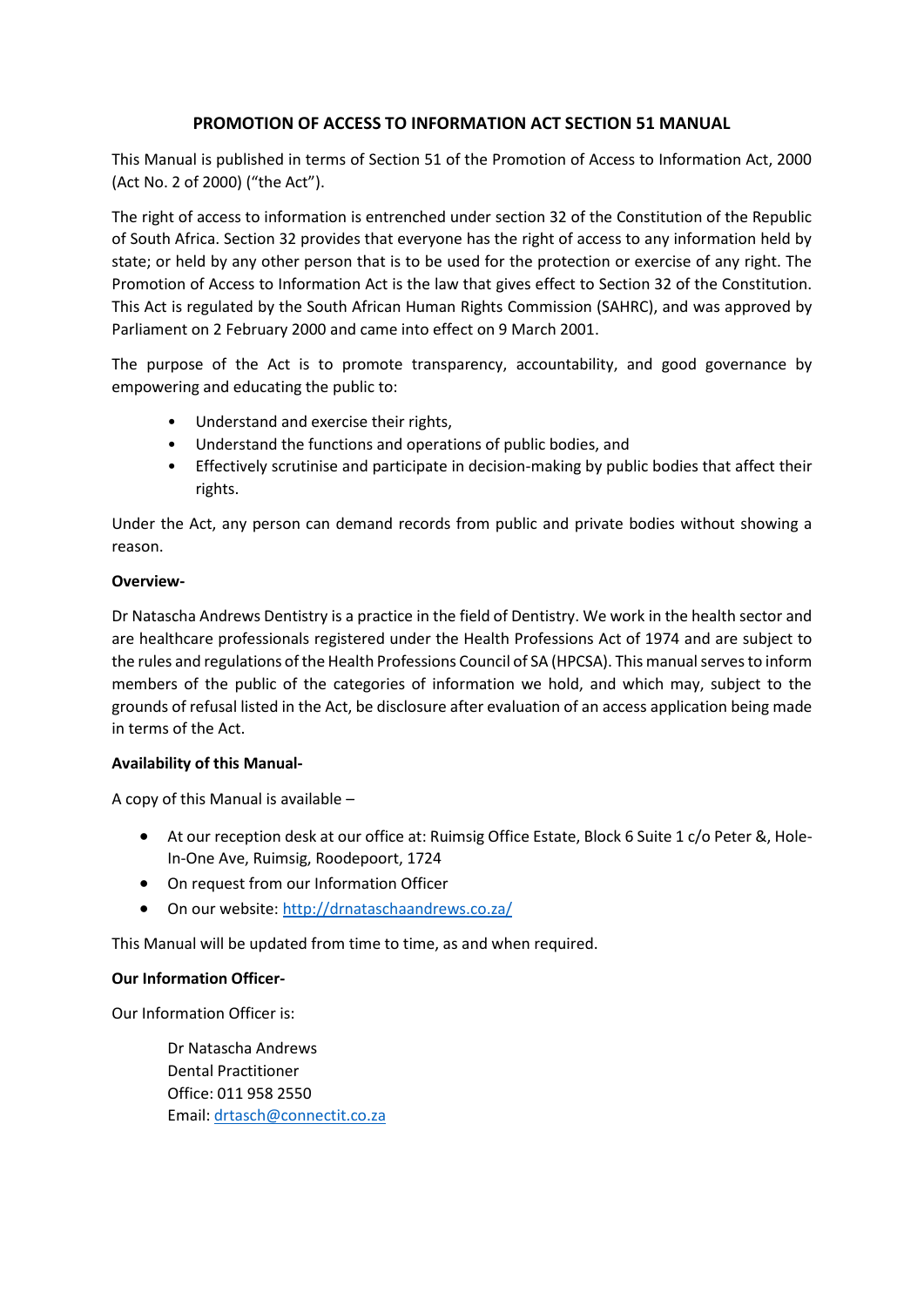# **PROMOTION OF ACCESS TO INFORMATION ACT SECTION 51 MANUAL**

This Manual is published in terms of Section 51 of the Promotion of Access to Information Act, 2000 (Act No. 2 of 2000) ("the Act").

The right of access to information is entrenched under section 32 of the Constitution of the Republic of South Africa. Section 32 provides that everyone has the right of access to any information held by state; or held by any other person that is to be used for the protection or exercise of any right. The Promotion of Access to Information Act is the law that gives effect to Section 32 of the Constitution. This Act is regulated by the South African Human Rights Commission (SAHRC), and was approved by Parliament on 2 February 2000 and came into effect on 9 March 2001.

The purpose of the Act is to promote transparency, accountability, and good governance by empowering and educating the public to:

- Understand and exercise their rights,
- Understand the functions and operations of public bodies, and
- Effectively scrutinise and participate in decision-making by public bodies that affect their rights.

Under the Act, any person can demand records from public and private bodies without showing a reason.

## **Overview-**

Dr Natascha Andrews Dentistry is a practice in the field of Dentistry. We work in the health sector and are healthcare professionals registered under the Health Professions Act of 1974 and are subject to the rules and regulations of the Health Professions Council of SA (HPCSA). This manual serves to inform members of the public of the categories of information we hold, and which may, subject to the grounds of refusal listed in the Act, be disclosure after evaluation of an access application being made in terms of the Act.

## **Availability of this Manual-**

A copy of this Manual is available –

- At our reception desk at our office at: Ruimsig Office Estate, Block 6 Suite 1 c/o Peter &, Hole-In-One Ave, Ruimsig, Roodepoort, 1724
- On request from our Information Officer
- On our website:<http://drnataschaandrews.co.za/>

This Manual will be updated from time to time, as and when required.

#### **Our Information Officer-**

Our Information Officer is:

Dr Natascha Andrews Dental Practitioner Office: 011 958 2550 Email: [drtasch@connectit.co.za](mailto:drtasch@connectit.co.za)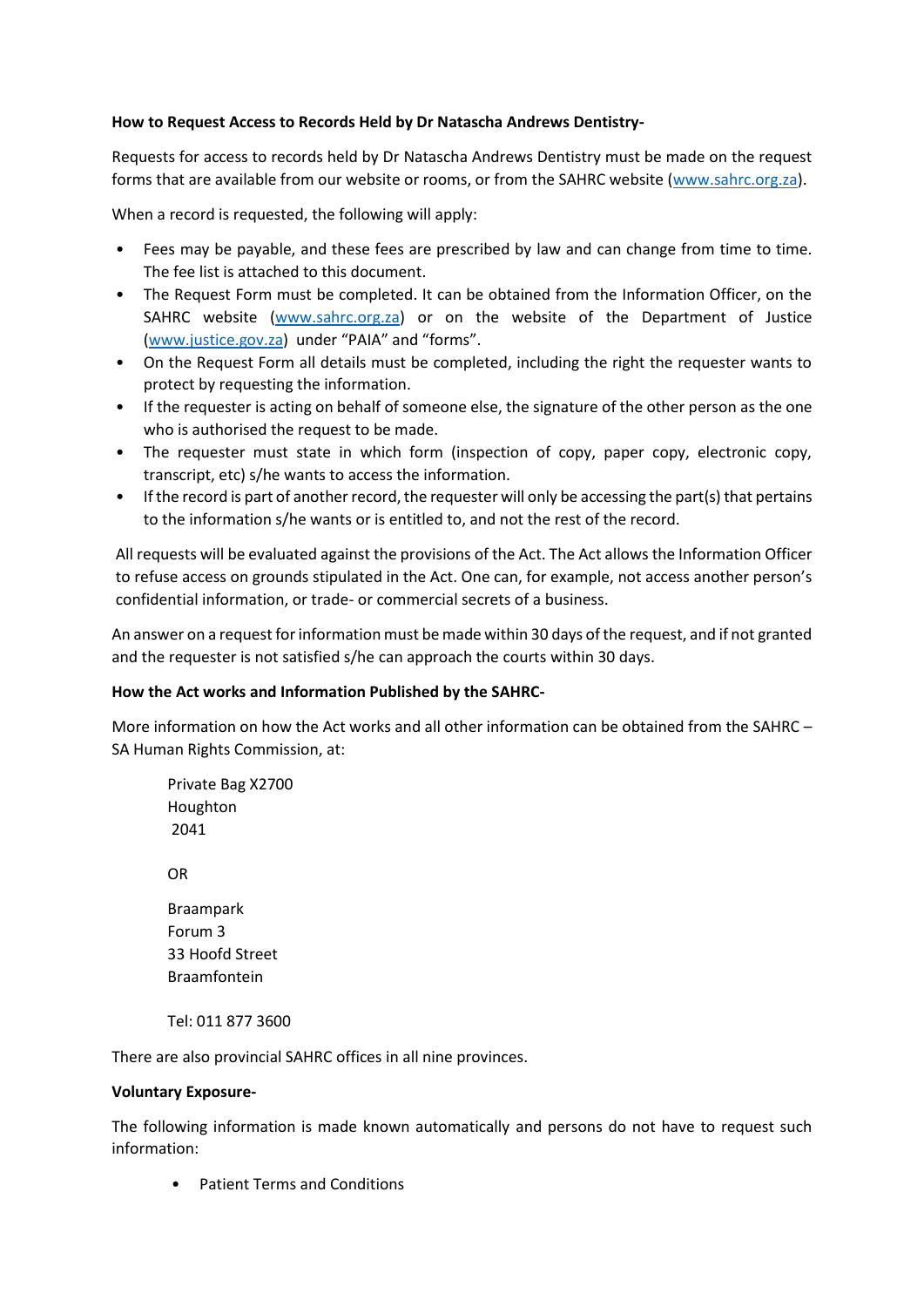## **How to Request Access to Records Held by Dr Natascha Andrews Dentistry-**

Requests for access to records held by Dr Natascha Andrews Dentistry must be made on the request forms that are available from our website or rooms, or from the SAHRC website [\(www.sahrc.org.za\)](http://www.sahrc.org.za/).

When a record is requested, the following will apply:

- Fees may be payable, and these fees are prescribed by law and can change from time to time. The fee list is attached to this document.
- The Request Form must be completed. It can be obtained from the Information Officer, on the SAHRC website [\(www.sahrc.org.za\)](http://www.sahrc.org.za/) or on the website of the Department of Justice [\(www.justice.gov.za\)](http://www.justice.gov.za/) under "PAIA" and "forms".
- On the Request Form all details must be completed, including the right the requester wants to protect by requesting the information.
- If the requester is acting on behalf of someone else, the signature of the other person as the one who is authorised the request to be made.
- The requester must state in which form (inspection of copy, paper copy, electronic copy, transcript, etc) s/he wants to access the information.
- If the record is part of another record, the requester will only be accessing the part(s) that pertains to the information s/he wants or is entitled to, and not the rest of the record.

All requests will be evaluated against the provisions of the Act. The Act allows the Information Officer to refuse access on grounds stipulated in the Act. One can, for example, not access another person's confidential information, or trade- or commercial secrets of a business.

An answer on a request for information must be made within 30 days of the request, and if not granted and the requester is not satisfied s/he can approach the courts within 30 days.

#### **How the Act works and Information Published by the SAHRC-**

More information on how the Act works and all other information can be obtained from the SAHRC – SA Human Rights Commission, at:

Private Bag X2700 Houghton 2041 OR Braampark Forum 3 33 Hoofd Street Braamfontein Tel: 011 877 3600

There are also provincial SAHRC offices in all nine provinces.

#### **Voluntary Exposure-**

The following information is made known automatically and persons do not have to request such information:

• Patient Terms and Conditions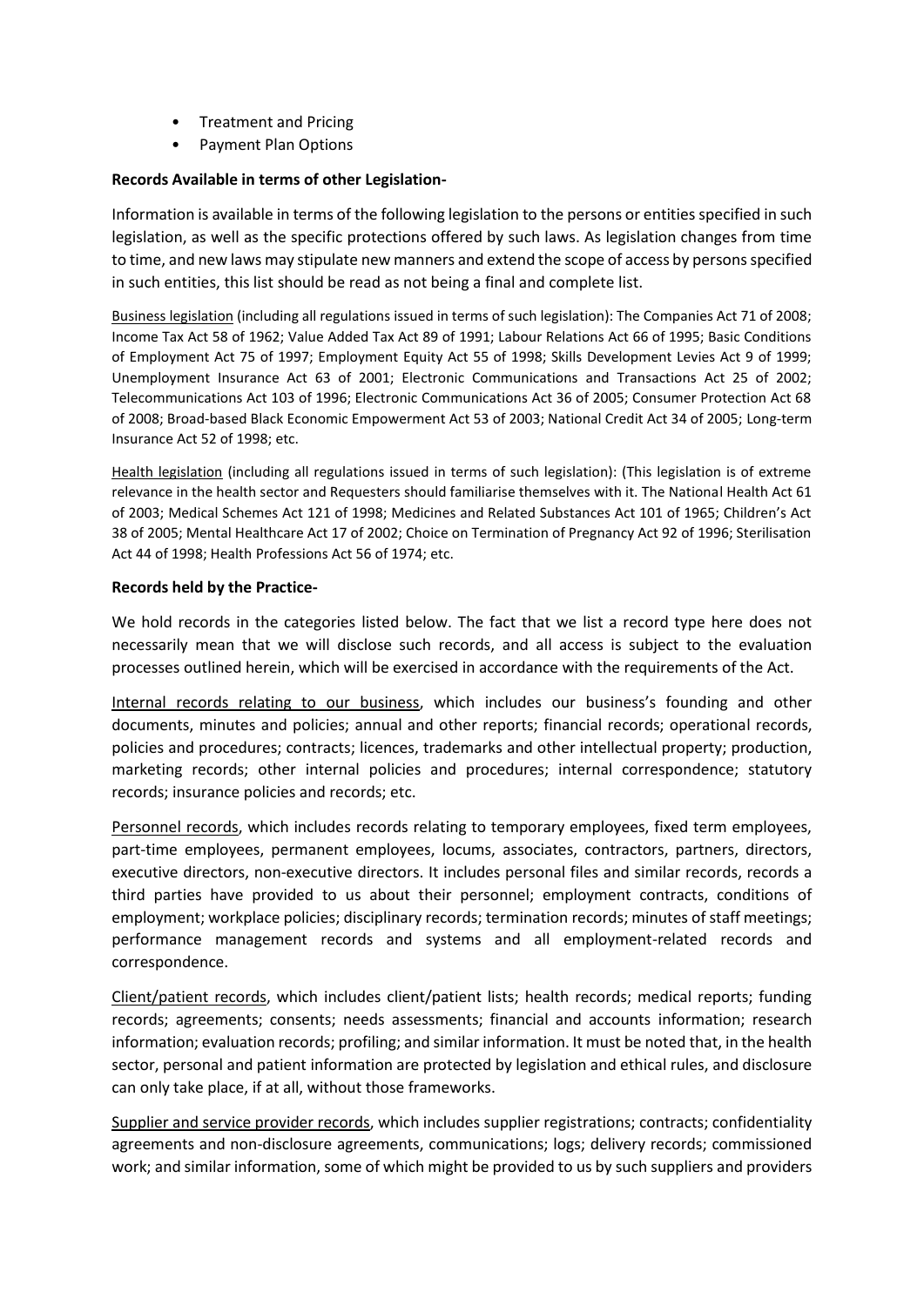- Treatment and Pricing
- Payment Plan Options

## **Records Available in terms of other Legislation-**

Information is available in terms of the following legislation to the persons or entities specified in such legislation, as well as the specific protections offered by such laws. As legislation changes from time to time, and new laws may stipulate new manners and extend the scope of access by persons specified in such entities, this list should be read as not being a final and complete list.

Business legislation (including all regulations issued in terms of such legislation): The Companies Act 71 of 2008; Income Tax Act 58 of 1962; Value Added Tax Act 89 of 1991; Labour Relations Act 66 of 1995; Basic Conditions of Employment Act 75 of 1997; Employment Equity Act 55 of 1998; Skills Development Levies Act 9 of 1999; Unemployment Insurance Act 63 of 2001; Electronic Communications and Transactions Act 25 of 2002; Telecommunications Act 103 of 1996; Electronic Communications Act 36 of 2005; Consumer Protection Act 68 of 2008; Broad-based Black Economic Empowerment Act 53 of 2003; National Credit Act 34 of 2005; Long-term Insurance Act 52 of 1998; etc.

Health legislation (including all regulations issued in terms of such legislation): (This legislation is of extreme relevance in the health sector and Requesters should familiarise themselves with it. The National Health Act 61 of 2003; Medical Schemes Act 121 of 1998; Medicines and Related Substances Act 101 of 1965; Children's Act 38 of 2005; Mental Healthcare Act 17 of 2002; Choice on Termination of Pregnancy Act 92 of 1996; Sterilisation Act 44 of 1998; Health Professions Act 56 of 1974; etc.

#### **Records held by the Practice-**

We hold records in the categories listed below. The fact that we list a record type here does not necessarily mean that we will disclose such records, and all access is subject to the evaluation processes outlined herein, which will be exercised in accordance with the requirements of the Act.

Internal records relating to our business, which includes our business's founding and other documents, minutes and policies; annual and other reports; financial records; operational records, policies and procedures; contracts; licences, trademarks and other intellectual property; production, marketing records; other internal policies and procedures; internal correspondence; statutory records; insurance policies and records; etc.

Personnel records, which includes records relating to temporary employees, fixed term employees, part-time employees, permanent employees, locums, associates, contractors, partners, directors, executive directors, non-executive directors. It includes personal files and similar records, records a third parties have provided to us about their personnel; employment contracts, conditions of employment; workplace policies; disciplinary records; termination records; minutes of staff meetings; performance management records and systems and all employment-related records and correspondence.

Client/patient records, which includes client/patient lists; health records; medical reports; funding records; agreements; consents; needs assessments; financial and accounts information; research information; evaluation records; profiling; and similar information. It must be noted that, in the health sector, personal and patient information are protected by legislation and ethical rules, and disclosure can only take place, if at all, without those frameworks.

Supplier and service provider records, which includes supplier registrations; contracts; confidentiality agreements and non-disclosure agreements, communications; logs; delivery records; commissioned work; and similar information, some of which might be provided to us by such suppliers and providers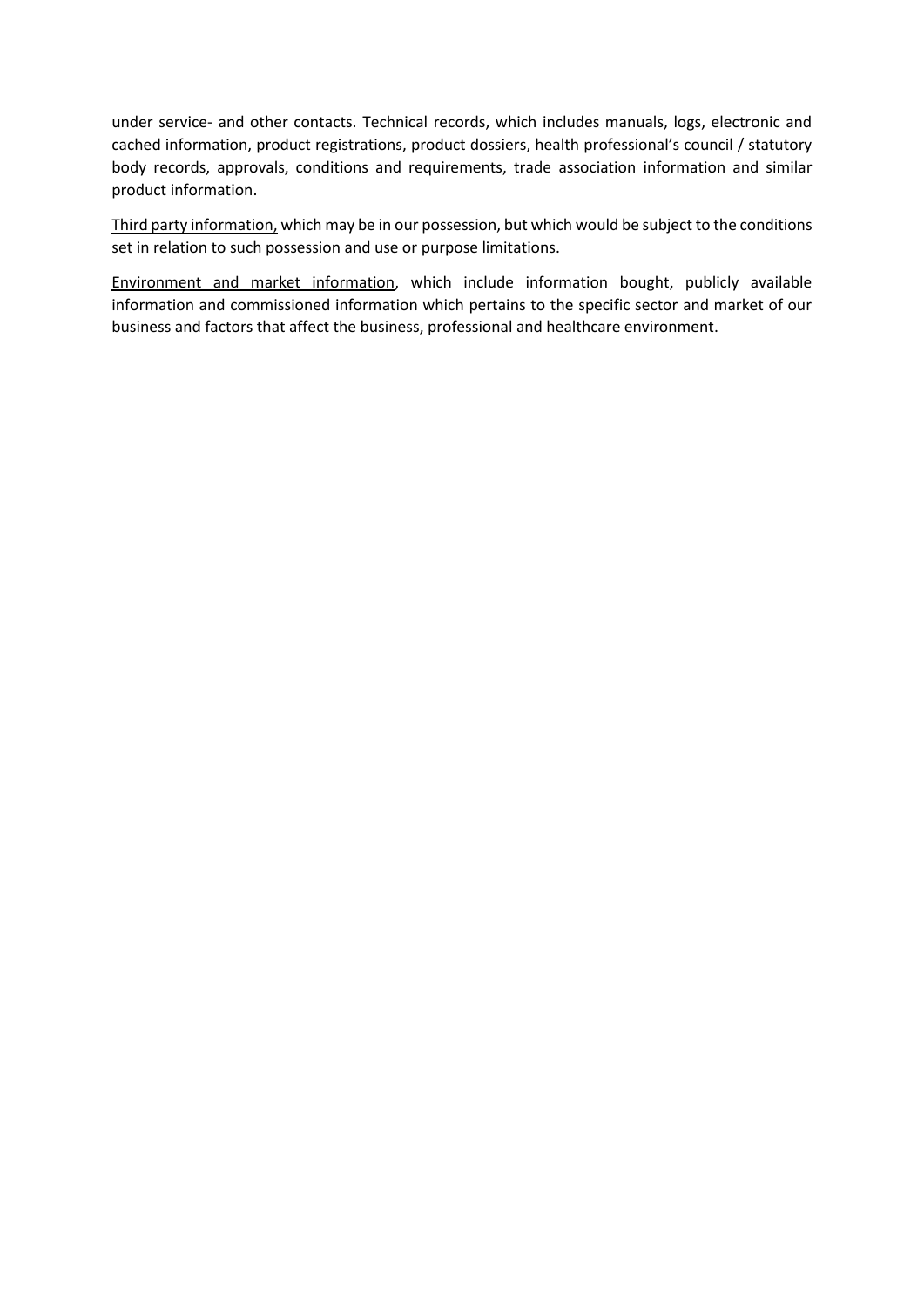under service- and other contacts. Technical records, which includes manuals, logs, electronic and cached information, product registrations, product dossiers, health professional's council / statutory body records, approvals, conditions and requirements, trade association information and similar product information.

Third party information, which may be in our possession, but which would be subject to the conditions set in relation to such possession and use or purpose limitations.

Environment and market information, which include information bought, publicly available information and commissioned information which pertains to the specific sector and market of our business and factors that affect the business, professional and healthcare environment.